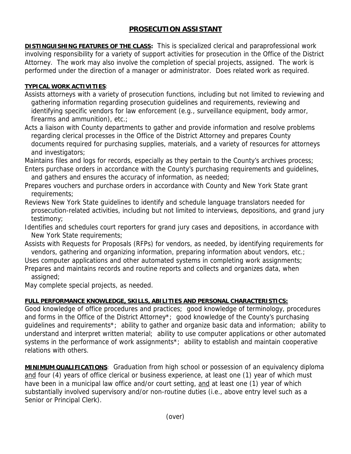## **PROSECUTION ASSISTANT**

**DISTINGUISHING FEATURES OF THE CLASS:** This is specialized clerical and paraprofessional work involving responsibility for a variety of support activities for prosecution in the Office of the District Attorney. The work may also involve the completion of special projects, assigned. The work is performed under the direction of a manager or administrator. Does related work as required.

## **TYPICAL WORK ACTIVITIES**:

- Assists attorneys with a variety of prosecution functions, including but not limited to reviewing and gathering information regarding prosecution guidelines and requirements, reviewing and identifying specific vendors for law enforcement (e.g., surveillance equipment, body armor, firearms and ammunition), etc.;
- Acts a liaison with County departments to gather and provide information and resolve problems regarding clerical processes in the Office of the District Attorney and prepares County documents required for purchasing supplies, materials, and a variety of resources for attorneys and investigators;

Maintains files and logs for records, especially as they pertain to the County's archives process;

- Enters purchase orders in accordance with the County's purchasing requirements and guidelines, and gathers and ensures the accuracy of information, as needed;
- Prepares vouchers and purchase orders in accordance with County and New York State grant requirements;
- Reviews New York State guidelines to identify and schedule language translators needed for prosecution-related activities, including but not limited to interviews, depositions, and grand jury testimony;
- Identifies and schedules court reporters for grand jury cases and depositions, in accordance with New York State requirements;
- Assists with Requests for Proposals (RFPs) for vendors, as needed, by identifying requirements for vendors, gathering and organizing information, preparing information about vendors, etc.;

Uses computer applications and other automated systems in completing work assignments;

Prepares and maintains records and routine reports and collects and organizes data, when assigned;

May complete special projects, as needed.

## **FULL PERFORMANCE KNOWLEDGE, SKILLS, ABILITIES AND PERSONAL CHARACTERISTICS:**

Good knowledge of office procedures and practices; good knowledge of terminology, procedures and forms in the Office of the District Attorney\*; good knowledge of the County's purchasing guidelines and requirements\*; ability to gather and organize basic data and information; ability to understand and interpret written material; ability to use computer applications or other automated systems in the performance of work assignments<sup>\*</sup>; ability to establish and maintain cooperative relations with others.

**MINIMUM QUALIFICATIONS**: Graduation from high school or possession of an equivalency diploma and four (4) years of office clerical or business experience, at least one (1) year of which must have been in a municipal law office and/or court setting, and at least one (1) year of which substantially involved supervisory and/or non-routine duties (i.e., above entry level such as a Senior or Principal Clerk).